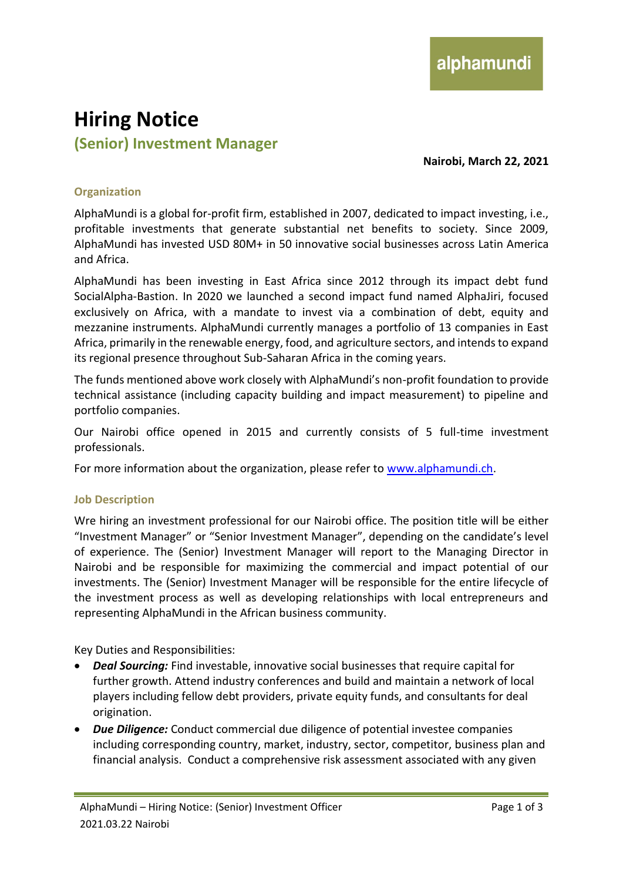# **Hiring Notice (Senior) Investment Manager**

**Nairobi, March 22, 2021**

## **Organization**

AlphaMundi is a global for-profit firm, established in 2007, dedicated to impact investing, i.e., profitable investments that generate substantial net benefits to society. Since 2009, AlphaMundi has invested USD 80M+ in 50 innovative social businesses across Latin America and Africa.

AlphaMundi has been investing in East Africa since 2012 through its impact debt fund SocialAlpha-Bastion. In 2020 we launched a second impact fund named AlphaJiri, focused exclusively on Africa, with a mandate to invest via a combination of debt, equity and mezzanine instruments. AlphaMundi currently manages a portfolio of 13 companies in East Africa, primarily in the renewable energy, food, and agriculture sectors, and intends to expand its regional presence throughout Sub-Saharan Africa in the coming years.

The funds mentioned above work closely with AlphaMundi's non-profit foundation to provide technical assistance (including capacity building and impact measurement) to pipeline and portfolio companies.

Our Nairobi office opened in 2015 and currently consists of 5 full-time investment professionals.

For more information about the organization, please refer to [www.alphamundi.ch.](http://www.alphamundi.ch/)

#### **Job Description**

Wre hiring an investment professional for our Nairobi office. The position title will be either "Investment Manager" or "Senior Investment Manager", depending on the candidate's level of experience. The (Senior) Investment Manager will report to the Managing Director in Nairobi and be responsible for maximizing the commercial and impact potential of our investments. The (Senior) Investment Manager will be responsible for the entire lifecycle of the investment process as well as developing relationships with local entrepreneurs and representing AlphaMundi in the African business community.

Key Duties and Responsibilities:

- *Deal Sourcing:* Find investable, innovative social businesses that require capital for further growth. Attend industry conferences and build and maintain a network of local players including fellow debt providers, private equity funds, and consultants for deal origination.
- *Due Diligence:* Conduct commercial due diligence of potential investee companies including corresponding country, market, industry, sector, competitor, business plan and financial analysis. Conduct a comprehensive risk assessment associated with any given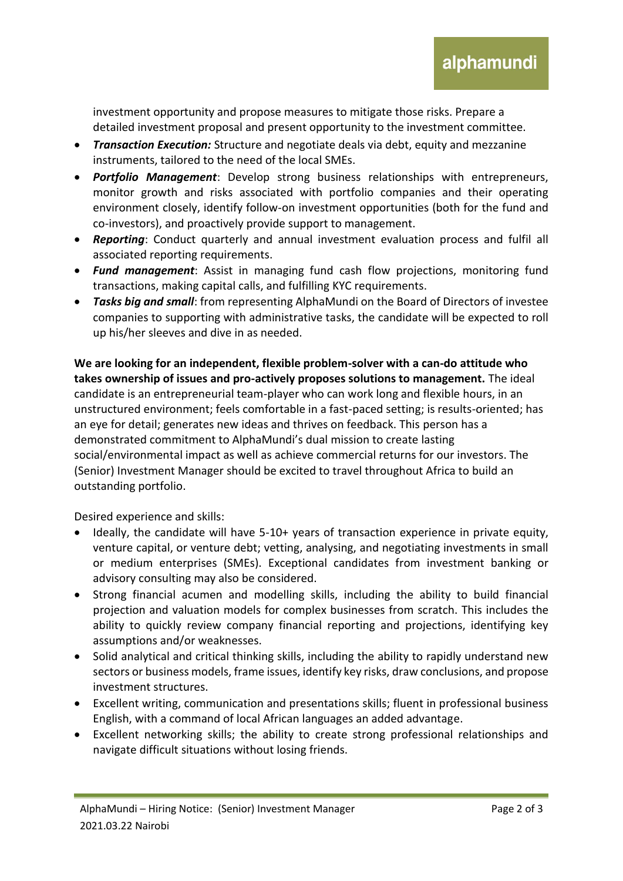investment opportunity and propose measures to mitigate those risks. Prepare a detailed investment proposal and present opportunity to the investment committee.

- *Transaction Execution:* Structure and negotiate deals via debt, equity and mezzanine instruments, tailored to the need of the local SMEs.
- *Portfolio Management*: Develop strong business relationships with entrepreneurs, monitor growth and risks associated with portfolio companies and their operating environment closely, identify follow-on investment opportunities (both for the fund and co-investors), and proactively provide support to management.
- *Reporting*: Conduct quarterly and annual investment evaluation process and fulfil all associated reporting requirements.
- *Fund management*: Assist in managing fund cash flow projections, monitoring fund transactions, making capital calls, and fulfilling KYC requirements.
- *Tasks big and small*: from representing AlphaMundi on the Board of Directors of investee companies to supporting with administrative tasks, the candidate will be expected to roll up his/her sleeves and dive in as needed.

**We are looking for an independent, flexible problem-solver with a can-do attitude who takes ownership of issues and pro-actively proposes solutions to management.** The ideal candidate is an entrepreneurial team-player who can work long and flexible hours, in an unstructured environment; feels comfortable in a fast-paced setting; is results-oriented; has an eye for detail; generates new ideas and thrives on feedback. This person has a demonstrated commitment to AlphaMundi's dual mission to create lasting social/environmental impact as well as achieve commercial returns for our investors. The (Senior) Investment Manager should be excited to travel throughout Africa to build an outstanding portfolio.

Desired experience and skills:

- Ideally, the candidate will have 5-10+ years of transaction experience in private equity, venture capital, or venture debt; vetting, analysing, and negotiating investments in small or medium enterprises (SMEs). Exceptional candidates from investment banking or advisory consulting may also be considered.
- Strong financial acumen and modelling skills, including the ability to build financial projection and valuation models for complex businesses from scratch. This includes the ability to quickly review company financial reporting and projections, identifying key assumptions and/or weaknesses.
- Solid analytical and critical thinking skills, including the ability to rapidly understand new sectors or business models, frame issues, identify key risks, draw conclusions, and propose investment structures.
- Excellent writing, communication and presentations skills; fluent in professional business English, with a command of local African languages an added advantage.
- Excellent networking skills; the ability to create strong professional relationships and navigate difficult situations without losing friends.